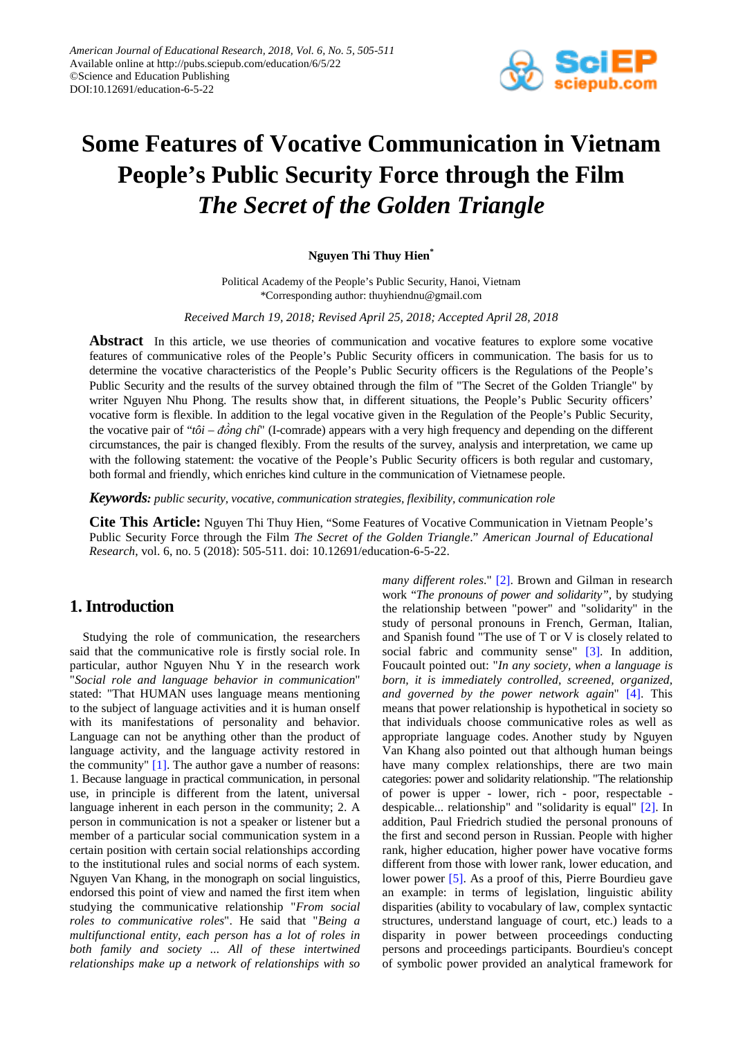

# **Some Features of Vocative Communication in Vietnam People's Public Security Force through the Film**  *The Secret of the Golden Triangle*

## **Nguyen Thi Thuy Hien\***

Political Academy of the People's Public Security, Hanoi, Vietnam \*Corresponding author: thuyhiendnu@gmail.com

*Received March 19, 2018; Revised April 25, 2018; Accepted April 28, 2018*

**Abstract** In this article, we use theories of communication and vocative features to explore some vocative features of communicative roles of the People's Public Security officers in communication. The basis for us to determine the vocative characteristics of the People's Public Security officers is the Regulations of the People's Public Security and the results of the survey obtained through the film of "The Secret of the Golden Triangle" by writer Nguyen Nhu Phong. The results show that, in different situations, the People's Public Security officers' vocative form is flexible. In addition to the legal vocative given in the Regulation of the People's Public Security, the vocative pair of "*tôi – đồng chí*" (I-comrade) appears with a very high frequency and depending on the different circumstances, the pair is changed flexibly. From the results of the survey, analysis and interpretation, we came up with the following statement: the vocative of the People's Public Security officers is both regular and customary, both formal and friendly, which enriches kind culture in the communication of Vietnamese people.

*Keywords: public security, vocative, communication strategies, flexibility, communication role*

**Cite This Article:** Nguyen Thi Thuy Hien, "Some Features of Vocative Communication in Vietnam People's Public Security Force through the Film *The Secret of the Golden Triangle*." *American Journal of Educational Research*, vol. 6, no. 5 (2018): 505-511. doi: 10.12691/education-6-5-22.

# **1. Introduction**

Studying the role of communication, the researchers said that the communicative role is firstly social role. In particular, author Nguyen Nhu Y in the research work "*Social role and language behavior in communication*" stated: "That HUMAN uses language means mentioning to the subject of language activities and it is human onself with its manifestations of personality and behavior. Language can not be anything other than the product of language activity, and the language activity restored in the community" [\[1\].](#page-5-0) The author gave a number of reasons: 1. Because language in practical communication, in personal use, in principle is different from the latent, universal language inherent in each person in the community; 2. A person in communication is not a speaker or listener but a member of a particular social communication system in a certain position with certain social relationships according to the institutional rules and social norms of each system. Nguyen Van Khang, in the monograph on social linguistics, endorsed this point of view and named the first item when studying the communicative relationship "*From social roles to communicative roles*". He said that "*Being a multifunctional entity, each person has a lot of roles in both family and society ... All of these intertwined relationships make up a network of relationships with so* 

*many different roles*." [\[2\].](#page-6-0) Brown and Gilman in research work "*The pronouns of power and solidarity",* by studying the relationship between "power" and "solidarity" in the study of personal pronouns in French, German, Italian, and Spanish found "The use of T or V is closely related to social fabric and community sense" [\[3\].](#page-6-1) In addition, Foucault pointed out: "*In any society, when a language is born, it is immediately controlled, screened, organized, and governed by the power network again*" [\[4\].](#page-6-2) This means that power relationship is hypothetical in society so that individuals choose communicative roles as well as appropriate language codes. Another study by Nguyen Van Khang also pointed out that although human beings have many complex relationships, there are two main categories: power and solidarity relationship. "The relationship of power is upper - lower, rich - poor, respectable despicable... relationship" and "solidarity is equal" [\[2\].](#page-6-0) In addition, Paul Friedrich studied the personal pronouns of the first and second person in Russian. People with higher rank, higher education, higher power have vocative forms different from those with lower rank, lower education, and lower power [\[5\].](#page-6-3) As a proof of this, Pierre Bourdieu gave an example: in terms of legislation, linguistic ability disparities (ability to vocabulary of law, complex syntactic structures, understand language of court, etc.) leads to a disparity in power between proceedings conducting persons and proceedings participants. Bourdieu's concept of symbolic power provided an analytical framework for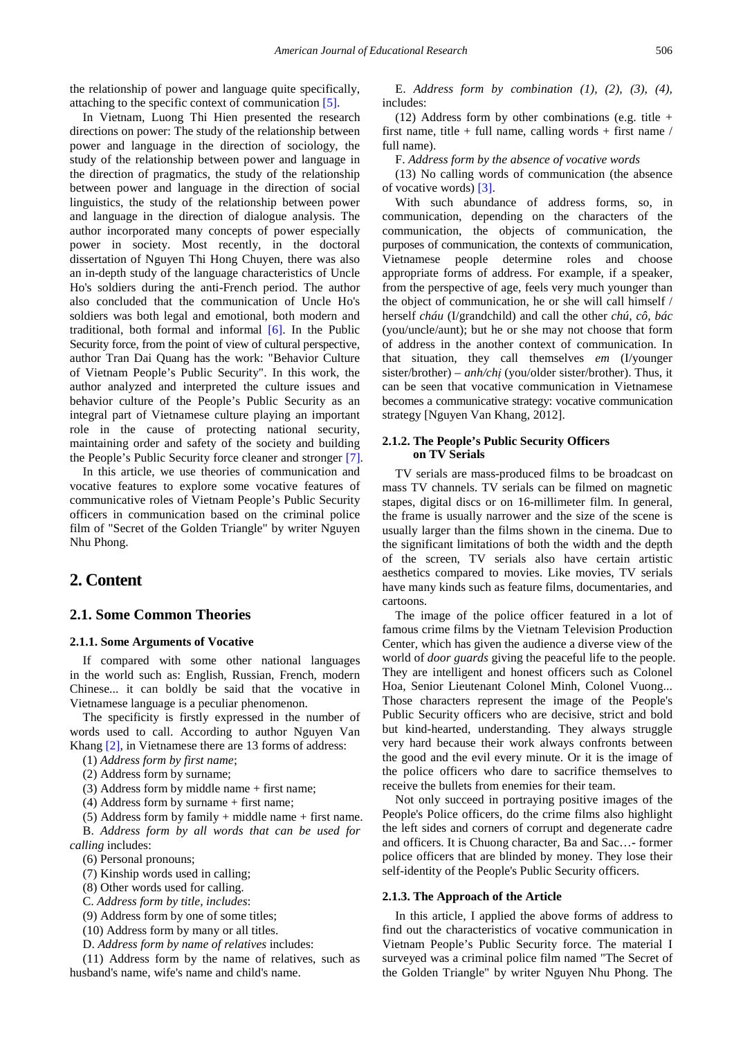the relationship of power and language quite specifically, attaching to the specific context of communication [\[5\].](#page-6-3) 

In Vietnam, Luong Thi Hien presented the research directions on power: The study of the relationship between power and language in the direction of sociology, the study of the relationship between power and language in the direction of pragmatics, the study of the relationship between power and language in the direction of social linguistics, the study of the relationship between power and language in the direction of dialogue analysis. The author incorporated many concepts of power especially power in society. Most recently, in the doctoral dissertation of Nguyen Thi Hong Chuyen, there was also an in-depth study of the language characteristics of Uncle Ho's soldiers during the anti-French period. The author also concluded that the communication of Uncle Ho's soldiers was both legal and emotional, both modern and traditional, both formal and informal [\[6\].](#page-6-4) In the Public Security force, from the point of view of cultural perspective, author Tran Dai Quang has the work: "Behavior Culture of Vietnam People's Public Security". In this work, the author analyzed and interpreted the culture issues and behavior culture of the People's Public Security as an integral part of Vietnamese culture playing an important role in the cause of protecting national security, maintaining order and safety of the society and building the People's Public Security force cleaner and stronger [\[7\].](#page-6-5)

In this article, we use theories of communication and vocative features to explore some vocative features of communicative roles of Vietnam People's Public Security officers in communication based on the criminal police film of "Secret of the Golden Triangle" by writer Nguyen Nhu Phong.

## **2. Content**

## **2.1. Some Common Theories**

#### **2.1.1. Some Arguments of Vocative**

If compared with some other national languages in the world such as: English, Russian, French, modern Chinese... it can boldly be said that the vocative in Vietnamese language is a peculiar phenomenon.

The specificity is firstly expressed in the number of words used to call. According to author Nguyen Van Khang [\[2\],](#page-6-0) in Vietnamese there are 13 forms of address:

(1) *Address form by first name*;

(2) Address form by surname;

 $(3)$  Address form by middle name + first name;

(4) Address form by surname + first name;

(5) Address form by family  $+$  middle name  $+$  first name. B. *Address form by all words that can be used for calling* includes:

(6) Personal pronouns;

(7) Kinship words used in calling;

(8) Other words used for calling.

C. *Address form by title, includes*:

(9) Address form by one of some titles;

(10) Address form by many or all titles.

D. *Address form by name of relatives* includes:

(11) Address form by the name of relatives, such as husband's name, wife's name and child's name.

E. *Address form by combination (1), (2), (3), (4),* includes:

(12) Address form by other combinations (e.g. title  $+$ first name, title + full name, calling words + first name  $\ell$ full name).

F. *Address form by the absence of vocative words*

(13) No calling words of communication (the absence of vocative words[\) \[3\].](#page-6-1) 

With such abundance of address forms, so, in communication, depending on the characters of the communication, the objects of communication, the purposes of communication, the contexts of communication, Vietnamese people determine roles and choose appropriate forms of address. For example, if a speaker, from the perspective of age, feels very much younger than the object of communication, he or she will call himself / herself *cháu* (I/grandchild) and call the other *chú, cô, bác* (you/uncle/aunt); but he or she may not choose that form of address in the another context of communication. In that situation, they call themselves *em* (I/younger sister/brother) – *anh/chi* (you/older sister/brother). Thus, it can be seen that vocative communication in Vietnamese becomes a communicative strategy: vocative communication strategy [Nguyen Van Khang, 2012].

## **2.1.2. The People's Public Security Officers on TV Serials**

TV serials are mass-produced films to be broadcast on mass TV channels. TV serials can be filmed on magnetic stapes, digital discs or on 16-millimeter film. In general, the frame is usually narrower and the size of the scene is usually larger than the films shown in the cinema. Due to the significant limitations of both the width and the depth of the screen, TV serials also have certain artistic aesthetics compared to movies. Like movies, TV serials have many kinds such as feature films, documentaries, and cartoons.

The image of the police officer featured in a lot of famous crime films by the Vietnam Television Production Center, which has given the audience a diverse view of the world of *door guards* giving the peaceful life to the people. They are intelligent and honest officers such as Colonel Hoa, Senior Lieutenant Colonel Minh, Colonel Vuong... Those characters represent the image of the People's Public Security officers who are decisive, strict and bold but kind-hearted, understanding. They always struggle very hard because their work always confronts between the good and the evil every minute. Or it is the image of the police officers who dare to sacrifice themselves to receive the bullets from enemies for their team.

Not only succeed in portraying positive images of the People's Police officers, do the crime films also highlight the left sides and corners of corrupt and degenerate cadre and officers. It is Chuong character, Ba and Sac…- former police officers that are blinded by money. They lose their self-identity of the People's Public Security officers.

#### **2.1.3. The Approach of the Article**

In this article, I applied the above forms of address to find out the characteristics of vocative communication in Vietnam People's Public Security force. The material I surveyed was a criminal police film named "The Secret of the Golden Triangle" by writer Nguyen Nhu Phong. The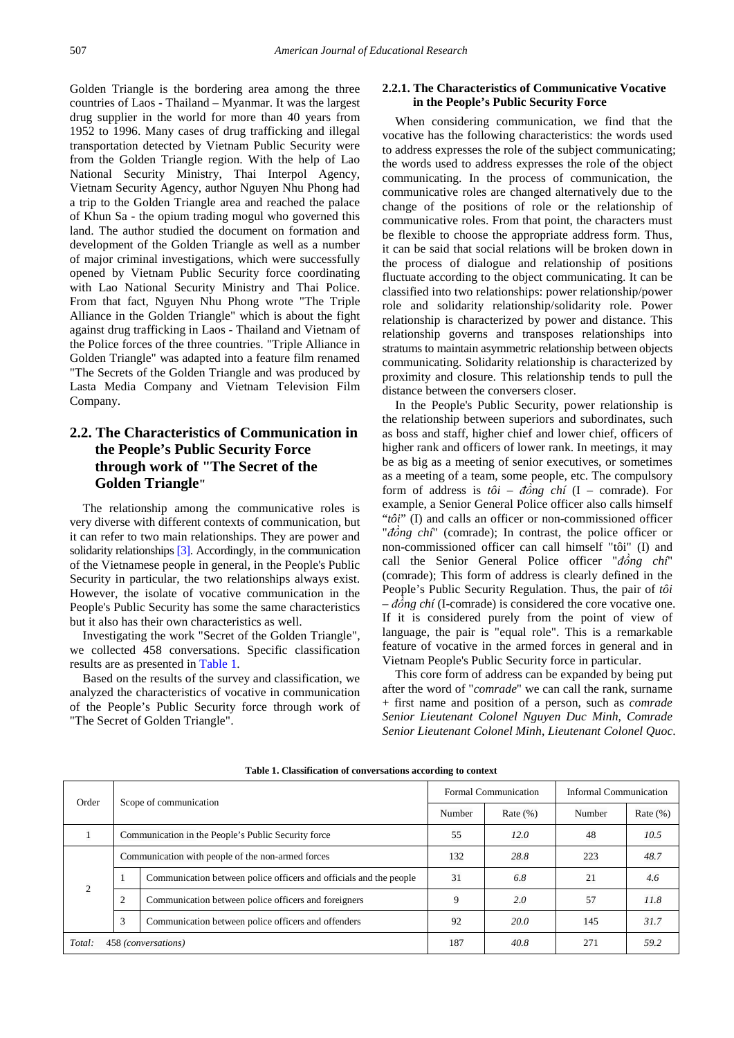Golden Triangle is the bordering area among the three countries of Laos - Thailand – Myanmar. It was the largest drug supplier in the world for more than 40 years from 1952 to 1996. Many cases of drug trafficking and illegal transportation detected by Vietnam Public Security were from the Golden Triangle region. With the help of Lao National Security Ministry, Thai Interpol Agency, Vietnam Security Agency, author Nguyen Nhu Phong had a trip to the Golden Triangle area and reached the palace of Khun Sa - the opium trading mogul who governed this land. The author studied the document on formation and development of the Golden Triangle as well as a number of major criminal investigations, which were successfully opened by Vietnam Public Security force coordinating with Lao National Security Ministry and Thai Police. From that fact, Nguyen Nhu Phong wrote "The Triple Alliance in the Golden Triangle" which is about the fight against drug trafficking in Laos - Thailand and Vietnam of the Police forces of the three countries. "Triple Alliance in Golden Triangle" was adapted into a feature film renamed "The Secrets of the Golden Triangle and was produced by Lasta Media Company and Vietnam Television Film Company.

# **2.2. The Characteristics of Communication in the People's Public Security Force through work of "The Secret of the Golden Triangle"**

The relationship among the communicative roles is very diverse with different contexts of communication, but it can refer to two main relationships. They are power and solidarity relationship[s \[3\].](#page-6-1) Accordingly, in the communication of the Vietnamese people in general, in the People's Public Security in particular, the two relationships always exist. However, the isolate of vocative communication in the People's Public Security has some the same characteristics but it also has their own characteristics as well.

Investigating the work "Secret of the Golden Triangle", we collected 458 conversations. Specific classification results are as presented in [Table 1.](#page-2-0)

Based on the results of the survey and classification, we analyzed the characteristics of vocative in communication of the People's Public Security force through work of "The Secret of Golden Triangle".

## **2.2.1. The Characteristics of Communicative Vocative in the People's Public Security Force**

When considering communication, we find that the vocative has the following characteristics: the words used to address expresses the role of the subject communicating; the words used to address expresses the role of the object communicating. In the process of communication, the communicative roles are changed alternatively due to the change of the positions of role or the relationship of communicative roles. From that point, the characters must be flexible to choose the appropriate address form. Thus, it can be said that social relations will be broken down in the process of dialogue and relationship of positions fluctuate according to the object communicating. It can be classified into two relationships: power relationship/power role and solidarity relationship/solidarity role. Power relationship is characterized by power and distance. This relationship governs and transposes relationships into stratums to maintain asymmetric relationship between objects communicating. Solidarity relationship is characterized by proximity and closure. This relationship tends to pull the distance between the conversers closer.

In the People's Public Security, power relationship is the relationship between superiors and subordinates, such as boss and staff, higher chief and lower chief, officers of higher rank and officers of lower rank. In meetings, it may be as big as a meeting of senior executives, or sometimes as a meeting of a team, some people, etc. The compulsory form of address is *tôi – đồng chí* (I – comrade). For example, a Senior General Police officer also calls himself "*tôi*" (I) and calls an officer or non-commissioned officer "*đồng chí*" (comrade); In contrast, the police officer or non-commissioned officer can call himself "tôi" (I) and call the Senior General Police officer "*đồng chí*" (comrade); This form of address is clearly defined in the People's Public Security Regulation. Thus, the pair of *tôi – đồng chí* (I-comrade) is considered the core vocative one. If it is considered purely from the point of view of language, the pair is "equal role". This is a remarkable feature of vocative in the armed forces in general and in Vietnam People's Public Security force in particular.

This core form of address can be expanded by being put after the word of "*comrade*" we can call the rank, surname + first name and position of a person, such as *comrade Senior Lieutenant Colonel Nguyen Duc Minh*, *Comrade Senior Lieutenant Colonel Minh*, *Lieutenant Colonel Quoc*.

<span id="page-2-0"></span>

| Order                         |                | Scope of communication                                             |      | Formal Communication |        | Informal Communication |  |
|-------------------------------|----------------|--------------------------------------------------------------------|------|----------------------|--------|------------------------|--|
|                               |                |                                                                    |      | Rate $(\% )$         | Number | Rate $(\% )$           |  |
|                               |                | Communication in the People's Public Security force                |      | 12.0                 | 48     | 10.5                   |  |
| $\mathcal{D}_{\mathcal{L}}$   |                | Communication with people of the non-armed forces                  |      | 28.8                 | 223    | 48.7                   |  |
|                               | $\bf{1}$       | Communication between police officers and officials and the people | 31   | 6.8                  | 21     | 4.6                    |  |
|                               | $\overline{2}$ | Communication between police officers and foreigners               | 9    | 2.0                  | 57     | 11.8                   |  |
|                               | 3              | Communication between police officers and offenders                | 92   | 20.0                 | 145    | 31.7                   |  |
| 458 (conversations)<br>Total: |                | 187                                                                | 40.8 | 271                  | 59.2   |                        |  |

**Table 1. Classification of conversations according to context**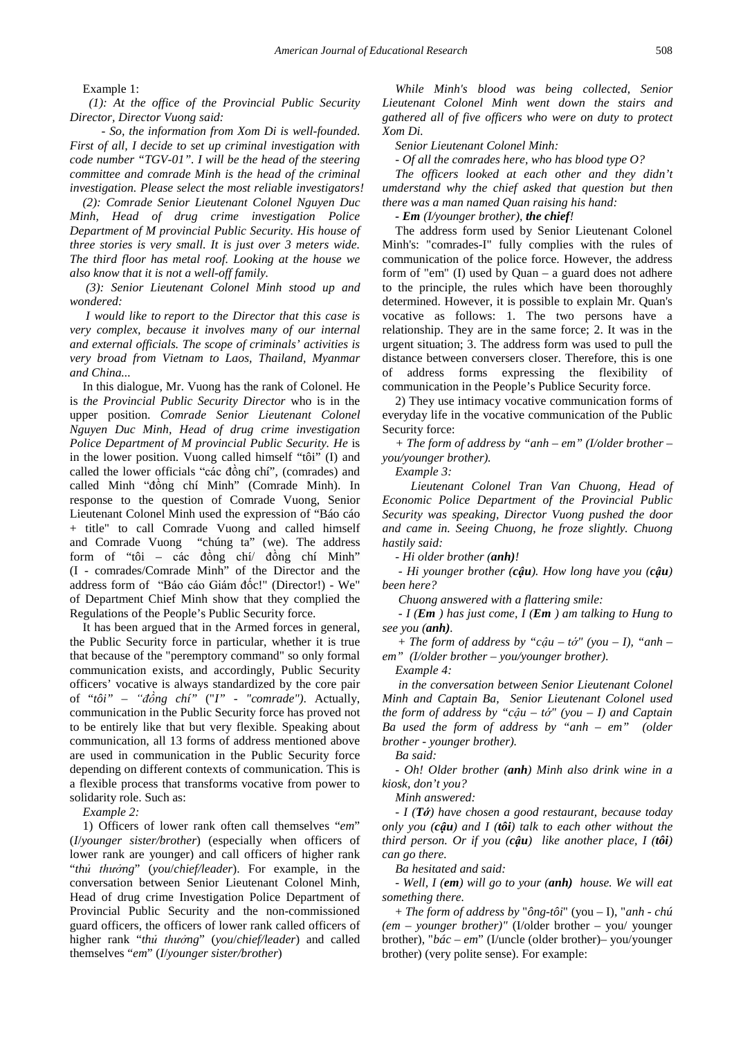Example 1:

*(1): At the office of the Provincial Public Security Director, Director Vuong said:*

*- So, the information from Xom Di is well-founded. First of all, I decide to set up criminal investigation with code number "TGV-01". I will be the head of the steering committee and comrade Minh is the head of the criminal investigation. Please select the most reliable investigators!*

*(2): Comrade Senior Lieutenant Colonel Nguyen Duc Minh, Head of drug crime investigation Police Department of M provincial Public Security. His house of three stories is very small. It is just over 3 meters wide. The third floor has metal roof. Looking at the house we also know that it is not a well-off family.*

*(3): Senior Lieutenant Colonel Minh stood up and wondered:*

*I would like to report to the Director that this case is very complex, because it involves many of our internal and external officials. The scope of criminals' activities is very broad from Vietnam to Laos, Thailand, Myanmar and China...*

In this dialogue, Mr. Vuong has the rank of Colonel. He is *the Provincial Public Security Director* who is in the upper position. *Comrade Senior Lieutenant Colonel Nguyen Duc Minh, Head of drug crime investigation Police Department of M provincial Public Security. He* is in the lower position. Vuong called himself "tôi" (I) and called the lower officials "các đồng chí", (comrades) and called Minh "đồng chí Minh" (Comrade Minh). In response to the question of Comrade Vuong, Senior Lieutenant Colonel Minh used the expression of "Báo cáo + title" to call Comrade Vuong and called himself and Comrade Vuong "chúng ta" (we). The address form of "tôi – các đồng chí/ đồng chí Minh" (I - comrades/Comrade Minh" of the Director and the address form of "Báo cáo Giám đốc!" (Director!) - We" of Department Chief Minh show that they complied the Regulations of the People's Public Security force.

It has been argued that in the Armed forces in general, the Public Security force in particular, whether it is true that because of the "peremptory command" so only formal communication exists, and accordingly, Public Security officers' vocative is always standardized by the core pair of "*tôi" – "đồng chí"* ("*I" - "comrade")*. Actually, communication in the Public Security force has proved not to be entirely like that but very flexible. Speaking about communication, all 13 forms of address mentioned above are used in communication in the Public Security force depending on different contexts of communication. This is a flexible process that transforms vocative from power to solidarity role. Such as:

*Example 2:*

1) Officers of lower rank often call themselves "*em*" (*I*/*younger sister/brother*) (especially when officers of lower rank are younger) and call officers of higher rank "*thủ thưởng*" (*you*/*chief/leader*). For example, in the conversation between Senior Lieutenant Colonel Minh, Head of drug crime Investigation Police Department of Provincial Public Security and the non-commissioned guard officers, the officers of lower rank called officers of higher rank "*thủ thưởng*" (*you*/*chief/leader*) and called themselves "*em*" (*I*/*younger sister/brother*)

*While Minh's blood was being collected, Senior Lieutenant Colonel Minh went down the stairs and gathered all of five officers who were on duty to protect Xom Di.*

*Senior Lieutenant Colonel Minh:*

*- Of all the comrades here, who has blood type O?*

*The officers looked at each other and they didn't umderstand why the chief asked that question but then there was a man named Quan raising his hand:*

*- Em (I/younger brother), the chief!*

The address form used by Senior Lieutenant Colonel Minh's: "comrades-I" fully complies with the rules of communication of the police force. However, the address form of "em" (I) used by Quan – a guard does not adhere to the principle, the rules which have been thoroughly determined. However, it is possible to explain Mr. Quan's vocative as follows: 1. The two persons have a relationship. They are in the same force; 2. It was in the urgent situation; 3. The address form was used to pull the distance between conversers closer. Therefore, this is one of address forms expressing the flexibility communication in the People's Publice Security force.

2) They use intimacy vocative communication forms of everyday life in the vocative communication of the Public Security force:

*+ The form of address by "anh – em" (I/older brother – you/younger brother).* 

*Example 3:*

*Lieutenant Colonel Tran Van Chuong, Head of Economic Police Department of the Provincial Public Security was speaking, Director Vuong pushed the door and came in. Seeing Chuong, he froze slightly. Chuong hastily said:*

*- Hi older brother (anh)!*

*- Hi younger brother (cậu). How long have you (cậu) been here?*

*Chuong answered with a flattering smile:*

*- I (Em ) has just come, I (Em ) am talking to Hung to see you (anh).*

+ *The form of address by "cậu – tớ" (you – I), "anh – em" (I/older brother – you/younger brother)*.

*Example 4:*

*in the conversation between Senior Lieutenant Colonel Minh and Captain Ba, Senior Lieutenant Colonel used the form of address by "cậu – tớ" (you – I) and Captain Ba used the form of address by "anh – em" (older brother - younger brother).*

*Ba said:*

*- Oh! Older brother (anh) Minh also drink wine in a kiosk, don't you?*

*Minh answered:*

*- I (Tớ) have chosen a good restaurant, because today only you (cậu) and I (tôi) talk to each other without the third person. Or if you (cậu) like another place, I (tôi) can go there.*

*Ba hesitated and said:*

*- Well, I (em) will go to your (anh) house. We will eat something there.*

+ *The form of address by* "*ông-tôi*" (you – I), "*anh - chú (em – younger brother)"* (I/older brother – you/ younger brother), "*bác – em*" (I/uncle (older brother)– you/younger brother) (very polite sense). For example: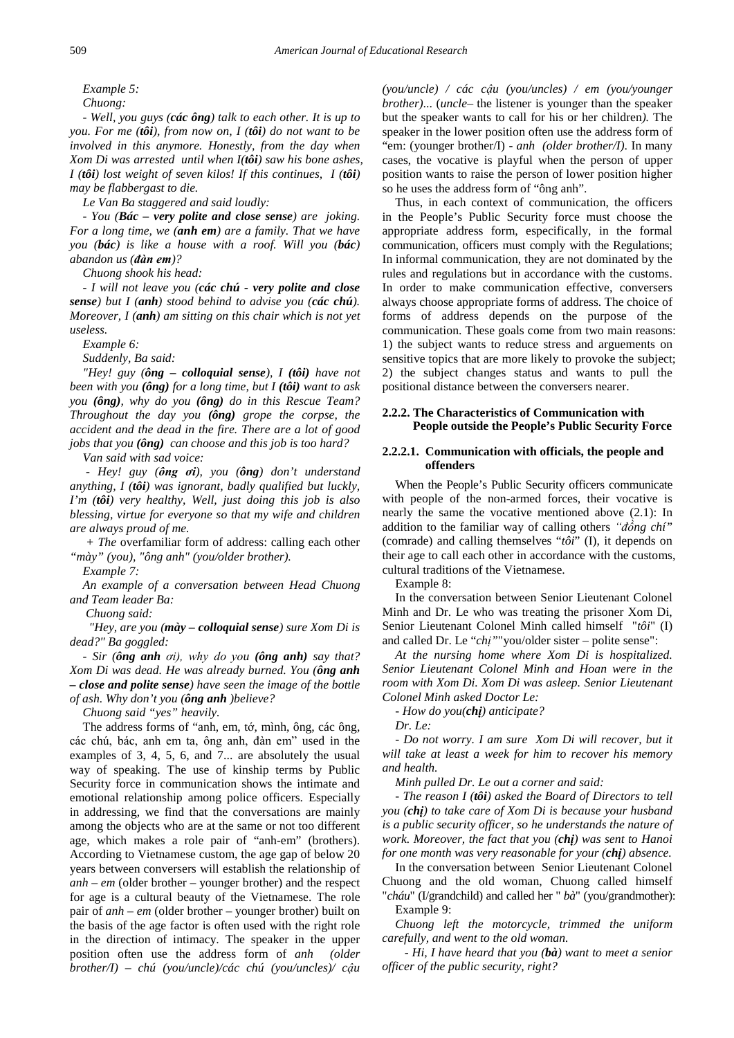*Example 5:*

*Chuong:*

*- Well, you guys (các ông) talk to each other. It is up to you. For me (tôi), from now on, I (tôi) do not want to be involved in this anymore. Honestly, from the day when Xom Di was arrested until when I(tôi) saw his bone ashes, I (tôi) lost weight of seven kilos! If this continues, I (tôi) may be flabbergast to die.*

*Le Van Ba staggered and said loudly:*

*- You (Bác – very polite and close sense) are joking. For a long time, we (anh em) are a family. That we have you (bác) is like a house with a roof. Will you (bác) abandon us (đàn em)?*

*Chuong shook his head:*

*- I will not leave you (các chú - very polite and close sense) but I (anh) stood behind to advise you (các chú). Moreover, I (anh) am sitting on this chair which is not yet useless.*

*Example 6:*

*Suddenly, Ba said:*

*"Hey! guy (ông – colloquial sense), I (tôi) have not been with you (ông) for a long time, but I (tôi) want to ask you (ông), why do you (ông) do in this Rescue Team? Throughout the day you (ông) grope the corpse, the accident and the dead in the fire. There are a lot of good jobs that you (ông) can choose and this job is too hard?*

*Van said with sad voice:*

*- Hey! guy (ông ơi), you (ông) don't understand anything, I (tôi) was ignorant, badly qualified but luckly, I'm (tôi) very healthy, Well, just doing this job is also blessing, virtue for everyone so that my wife and children are always proud of me.*

*+ The* overfamiliar form of address: calling each other *"mày" (you), "ông anh" (you/older brother).* 

*Example 7:*

*An example of a conversation between Head Chuong and Team leader Ba:*

*Chuong said:*

*"Hey, are you (mày – colloquial sense) sure Xom Di is dead?" Ba goggled:*

*- Sir (ông anh ơi), why do you (ông anh) say that? Xom Di was dead. He was already burned. You (ông anh – close and polite sense) have seen the image of the bottle of ash. Why don't you (ông anh )believe?*

*Chuong said "yes" heavily.*

The address forms of "anh, em, tớ, mình, ông, các ông, các chú, bác, anh em ta, ông anh, đàn em" used in the examples of 3, 4, 5, 6, and 7... are absolutely the usual way of speaking. The use of kinship terms by Public Security force in communication shows the intimate and emotional relationship among police officers. Especially in addressing, we find that the conversations are mainly among the objects who are at the same or not too different age, which makes a role pair of "anh-em" (brothers). According to Vietnamese custom, the age gap of below 20 years between conversers will establish the relationship of *anh – em* (older brother – younger brother) and the respect for age is a cultural beauty of the Vietnamese. The role pair of *anh – em* (older brother – younger brother) built on the basis of the age factor is often used with the right role in the direction of intimacy. The speaker in the upper position often use the address form of *anh (older brother/I) – chú (you/uncle)/các chú (you/uncles)/ cậu* 

*(you/uncle) / các cậu (you/uncles) / em (you/younger brother)*... (*uncle–* the listener is younger than the speaker but the speaker wants to call for his or her children*).* The speaker in the lower position often use the address form of "em: (younger brother/I) - *anh (older brother/I)*. In many cases, the vocative is playful when the person of upper position wants to raise the person of lower position higher so he uses the address form of "ông anh".

Thus, in each context of communication, the officers in the People's Public Security force must choose the appropriate address form, especifically, in the formal communication, officers must comply with the Regulations; In informal communication, they are not dominated by the rules and regulations but in accordance with the customs. In order to make communication effective, conversers always choose appropriate forms of address. The choice of forms of address depends on the purpose of the communication. These goals come from two main reasons: 1) the subject wants to reduce stress and arguements on sensitive topics that are more likely to provoke the subject; 2) the subject changes status and wants to pull the positional distance between the conversers nearer.

## **2.2.2. The Characteristics of Communication with People outside the People's Public Security Force**

## **2.2.2.1. Communication with officials, the people and offenders**

When the People's Public Security officers communicate with people of the non-armed forces, their vocative is nearly the same the vocative mentioned above (2.1): In addition to the familiar way of calling others *"đồng chí"* (comrade) and calling themselves "*tôi*" (I), it depends on their age to call each other in accordance with the customs, cultural traditions of the Vietnamese.

Example 8:

In the conversation between Senior Lieutenant Colonel Minh and Dr. Le who was treating the prisoner Xom Di, Senior Lieutenant Colonel Minh called himself "*tôi*" (I) and called Dr. Le "*chị"*"you/older sister – polite sense":

*At the nursing home where Xom Di is hospitalized. Senior Lieutenant Colonel Minh and Hoan were in the room with Xom Di. Xom Di was asleep. Senior Lieutenant Colonel Minh asked Doctor Le:*

*- How do you(chị) anticipate?*

*Dr. Le:*

*- Do not worry. I am sure Xom Di will recover, but it will take at least a week for him to recover his memory and health.*

*Minh pulled Dr. Le out a corner and said:*

*- The reason I (tôi) asked the Board of Directors to tell you (chị) to take care of Xom Di is because your husband is a public security officer, so he understands the nature of work. Moreover, the fact that you (chị) was sent to Hanoi for one month was very reasonable for your (chị) absence.*

In the conversation between Senior Lieutenant Colonel Chuong and the old woman, Chuong called himself "*cháu*" (I/grandchild) and called her " *bà*" (you/grandmother): Example 9:

*Chuong left the motorcycle, trimmed the uniform carefully, and went to the old woman.*

*- Hi, I have heard that you (bà) want to meet a senior officer of the public security, right?*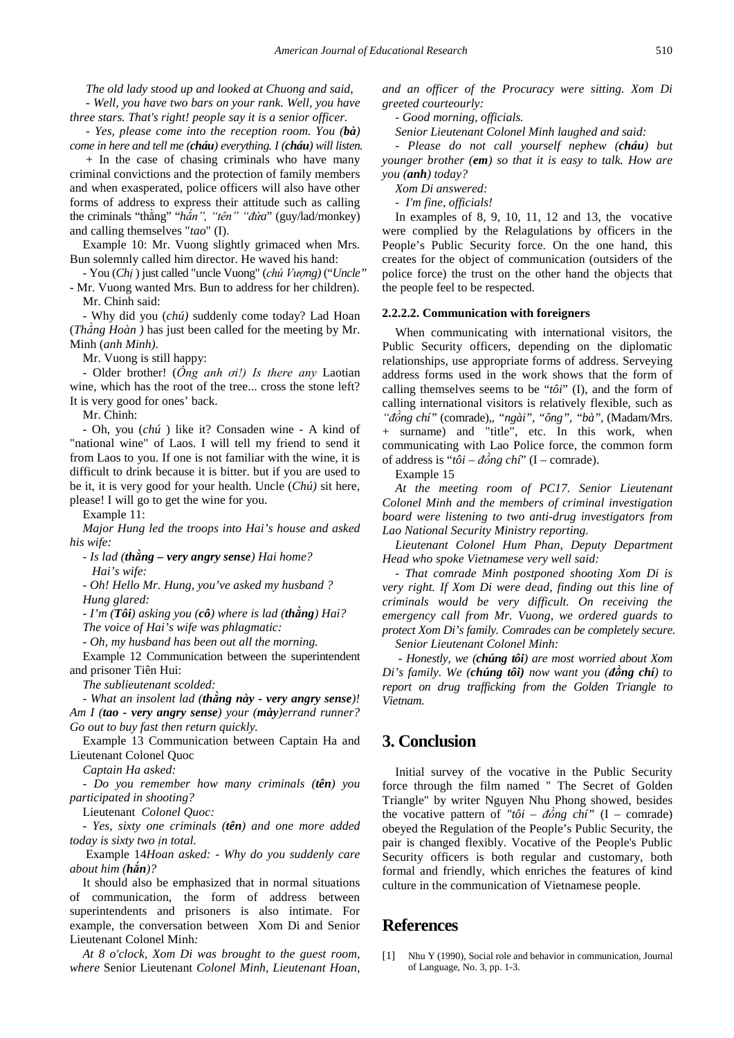*The old lady stood up and looked at Chuong and said,*

*- Well, you have two bars on your rank. Well, you have three stars. That's right! people say it is a senior officer.*

*- Yes, please come into the reception room. You (bà) come in here and tell me (cháu) everything. I (cháu) will listen.*

+ In the case of chasing criminals who have many criminal convictions and the protection of family members and when exasperated, police officers will also have other forms of address to express their attitude such as calling the criminals "thằng" "*hắn", "tên" "đứa*" (guy/lad/monkey) and calling themselves "*tao*" (I).

Example 10: Mr. Vuong slightly grimaced when Mrs. Bun solemnly called him director. He waved his hand:

- You (*Chị* ) just called "uncle Vuong" (*chú Vượng)* ("*Uncle"* - Mr. Vuong wanted Mrs. Bun to address for her children).

Mr. Chinh said:

- Why did you (*chú)* suddenly come today? Lad Hoan (*Thằng Hoàn )* has just been called for the meeting by Mr. Minh (*anh Minh)*.

Mr. Vuong is still happy:

- Older brother! (*Ông anh ơi!) Is there any* Laotian wine, which has the root of the tree... cross the stone left? It is very good for ones' back.

Mr. Chinh:

- Oh, you (*chú* ) like it? Consaden wine - A kind of "national wine" of Laos. I will tell my friend to send it from Laos to you. If one is not familiar with the wine, it is difficult to drink because it is bitter. but if you are used to be it, it is very good for your health. Uncle (*Chú)* sit here, please! I will go to get the wine for you.

Example 11:

*Major Hung led the troops into Hai's house and asked his wife:*

*- Is lad (thằng – very angry sense) Hai home? Hai's wife:*

*- Oh! Hello Mr. Hung, you've asked my husband ? Hung glared:*

*- I'm (Tôi) asking you (cô) where is lad (thằng) Hai?*

*The voice of Hai's wife was phlagmatic:*

*- Oh, my husband has been out all the morning.*

Example 12 Communication between the superintendent and prisoner Tiên Hui:

*The sublieutenant scolded:*

*- What an insolent lad (thằng này - very angry sense)! Am I (tao - very angry sense) your (mày)errand runner? Go out to buy fast then return quickly.*

Example 13 Communication between Captain Ha and Lieutenant Colonel Quoc

*Captain Ha asked:*

*- Do you remember how many criminals (tên) you participated in shooting?*

Lieutenant *Colonel Quoc:*

*- Yes, sixty one criminals (tên) and one more added today is sixty two ịn total.*

Example 14*Hoan asked: - Why do you suddenly care about him (hắn)?*

It should also be emphasized that in normal situations of communication, the form of address between superintendents and prisoners is also intimate. For example, the conversation between Xom Di and Senior Lieutenant Colonel Minh*:*

*At 8 o'clock, Xom Di was brought to the guest room, where* Senior Lieutenant *Colonel Minh, Lieutenant Hoan,*  *and an officer of the Procuracy were sitting. Xom Di greeted courteourly:*

*- Good morning, officials.*

*Senior Lieutenant Colonel Minh laughed and said:*

*- Please do not call yourself nephew (cháu) but younger brother (em) so that it is easy to talk. How are you (anh) today?*

*Xom Di answered:*

*- I'm fine, officials!*

In examples of 8, 9, 10, 11, 12 and 13, the vocative were complied by the Relagulations by officers in the People's Public Security force. On the one hand, this creates for the object of communication (outsiders of the police force) the trust on the other hand the objects that the people feel to be respected.

#### **2.2.2.2. Communication with foreigners**

When communicating with international visitors, the Public Security officers, depending on the diplomatic relationships, use appropriate forms of address. Serveying address forms used in the work shows that the form of calling themselves seems to be "*tôi*" (I), and the form of calling international visitors is relatively flexible, such as *"đồng chí"* (comrade),*, "ngài", "ông", "bà",* (Madam/Mrs. + surname) and "title", etc. In this work, when communicating with Lao Police force, the common form of address is "*tôi – đồng chí*" (I – comrade).

Example 15

*At the meeting room of PC17. Senior Lieutenant Colonel Minh and the members of criminal investigation board were listening to two anti-drug investigators from Lao National Security Ministry reporting.*

*Lieutenant Colonel Hum Phan, Deputy Department Head who spoke Vietnamese very well said:*

*- That comrade Minh postponed shooting Xom Di is very right. If Xom Di were dead, finding out this line of criminals would be very difficult. On receiving the emergency call from Mr. Vuong, we ordered guards to protect Xom Di's family. Comrades can be completely secure.*

*Senior Lieutenant Colonel Minh:*

*- Honestly, we (chúng tôi) are most worried about Xom Di's family. We (chúng tôi) now want you (đồng chí) to report on drug trafficking from the Golden Triangle to Vietnam.*

# **3. Conclusion**

Initial survey of the vocative in the Public Security force through the film named " The Secret of Golden Triangle" by writer Nguyen Nhu Phong showed, besides the vocative pattern of *"tôi – đồng chí"* (I – comrade) obeyed the Regulation of the People's Public Security, the pair is changed flexibly. Vocative of the People's Public Security officers is both regular and customary, both formal and friendly, which enriches the features of kind culture in the communication of Vietnamese people.

## **References**

<span id="page-5-0"></span>[1] Nhu Y (1990), Social role and behavior in communication, Journal of Language, No. 3, pp. 1-3.